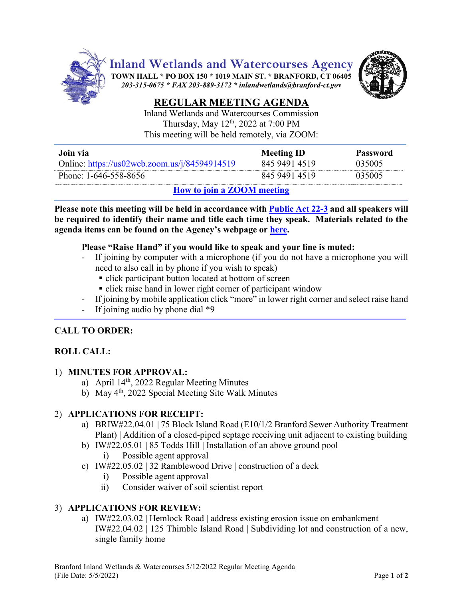

**Inland Wetlands and Watercourses Agency**

**TOWN HALL \* PO BOX 150 \* 1019 MAIN ST. \* BRANFORD, CT 06405** *203-315-0675 \* FAX 203-889-3172 \* inlandwetlands@branford-ct.gov* 



# **REGULAR MEETING AGENDA**

Inland Wetlands and Watercourses Commission Thursday, May 12<sup>th</sup>, 2022 at 7:00 PM This meeting will be held remotely, via ZOOM:

| Join via                                      | <b>Meeting ID</b> | Password |
|-----------------------------------------------|-------------------|----------|
| Online: https://us02web.zoom.us/j/84594914519 | 845 9491 4519     | 035005.  |
| Phone: 1-646-558-8656                         | 845 9491 4519     | 035005   |

## **[How to join a ZOOM meeting](https://www.youtube.com/embed/hIkCmbvAHQQ?rel=0&autoplay=1&cc_load_policy=1)**

**Please note this meeting will be held in accordance wit[h Public Act 22-3](https://www.cga.ct.gov/2022/act/pa/pdf/2022PA-00003-R00HB-05269-PA.pdf) and all speakers will be required to identify their name and title each time they speak. Materials related to the agenda items can be found on the Agency's webpage or [here.](https://www.dropbox.com/sh/aaqscumbqriwlm5/AADJjQJHfo-OSq0EKF8GdRqaa?dl=0)** 

### **Please "Raise Hand" if you would like to speak and your line is muted:**

- If joining by computer with a microphone (if you do not have a microphone you will need to also call in by phone if you wish to speak)
	- click participant button located at bottom of screen
	- **click raise hand in lower right corner of participant window**
- If joining by mobile application click "more" in lower right corner and select raise hand
- If joining audio by phone dial  $*9$

## **CALL TO ORDER:**

## **ROLL CALL:**

## 1) **MINUTES FOR APPROVAL:**

- a) April 14<sup>th</sup>, 2022 Regular Meeting Minutes
- b) May 4th, 2022 Special Meeting Site Walk Minutes

## 2) **APPLICATIONS FOR RECEIPT:**

- a) BRIW#22.04.01 | 75 Block Island Road (E10/1/2 Branford Sewer Authority Treatment Plant) | Addition of a closed-piped septage receiving unit adjacent to existing building
- b) IW#22.05.01 | 85 Todds Hill | Installation of an above ground pool
	- i) Possible agent approval
- c) IW#22.05.02 | 32 Ramblewood Drive | construction of a deck
	- i) Possible agent approval
	- ii) Consider waiver of soil scientist report

## 3) **APPLICATIONS FOR REVIEW:**

a) IW#22.03.02 | Hemlock Road | address existing erosion issue on embankment IW#22.04.02 | 125 Thimble Island Road | Subdividing lot and construction of a new, single family home